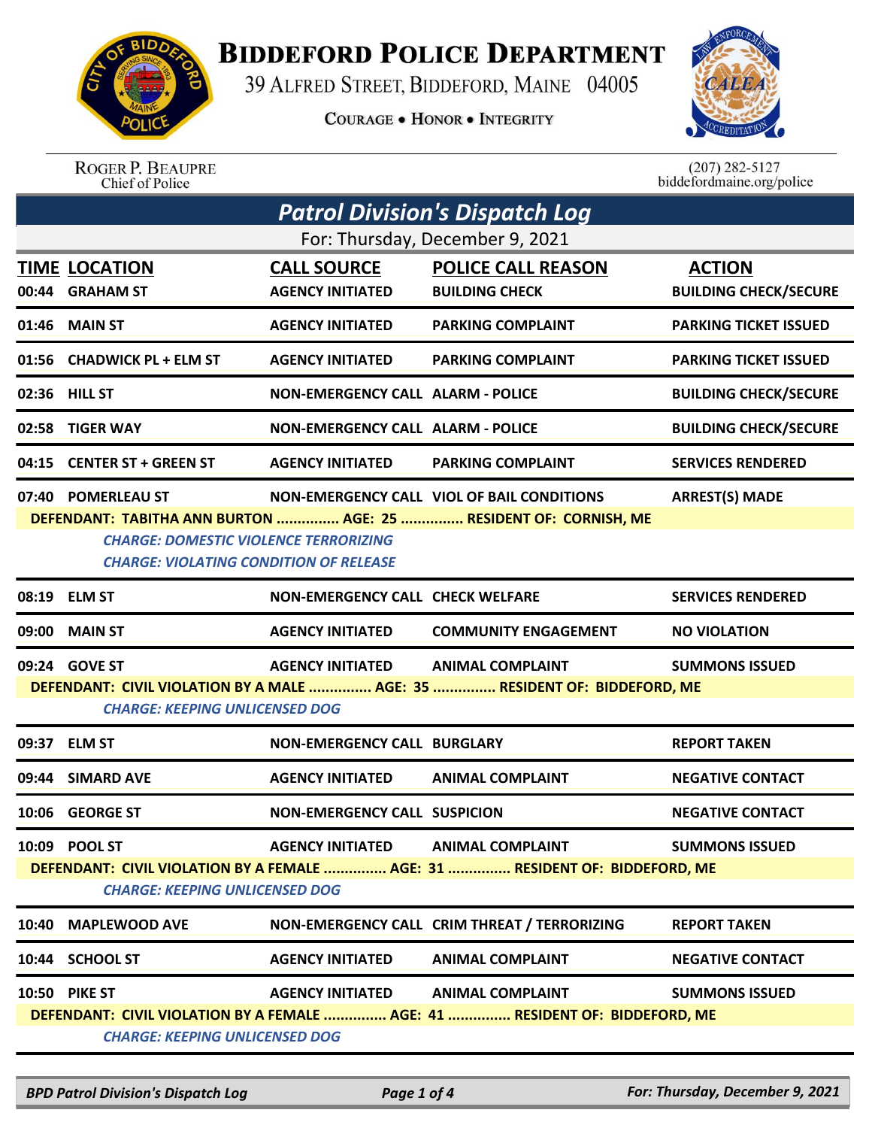

## **BIDDEFORD POLICE DEPARTMENT**

39 ALFRED STREET, BIDDEFORD, MAINE 04005

**COURAGE . HONOR . INTEGRITY** 



ROGER P. BEAUPRE<br>Chief of Police

 $(207)$  282-5127<br>biddefordmaine.org/police

|                                                                             | Patrol Division's Dispatch Log                |                                          |                                                                           |                              |  |  |
|-----------------------------------------------------------------------------|-----------------------------------------------|------------------------------------------|---------------------------------------------------------------------------|------------------------------|--|--|
| For: Thursday, December 9, 2021                                             |                                               |                                          |                                                                           |                              |  |  |
|                                                                             | <b>TIME LOCATION</b>                          | <b>CALL SOURCE</b>                       | <b>POLICE CALL REASON</b>                                                 | <b>ACTION</b>                |  |  |
| 00:44                                                                       | <b>GRAHAM ST</b>                              | <b>AGENCY INITIATED</b>                  | <b>BUILDING CHECK</b>                                                     | <b>BUILDING CHECK/SECURE</b> |  |  |
| 01:46                                                                       | <b>MAIN ST</b>                                | <b>AGENCY INITIATED</b>                  | <b>PARKING COMPLAINT</b>                                                  | <b>PARKING TICKET ISSUED</b> |  |  |
| 01:56                                                                       | <b>CHADWICK PL + ELM ST</b>                   | <b>AGENCY INITIATED</b>                  | <b>PARKING COMPLAINT</b>                                                  | <b>PARKING TICKET ISSUED</b> |  |  |
|                                                                             | 02:36 HILL ST                                 | NON-EMERGENCY CALL ALARM - POLICE        |                                                                           | <b>BUILDING CHECK/SECURE</b> |  |  |
| 02:58                                                                       | <b>TIGER WAY</b>                              | <b>NON-EMERGENCY CALL ALARM - POLICE</b> |                                                                           | <b>BUILDING CHECK/SECURE</b> |  |  |
| 04:15                                                                       | <b>CENTER ST + GREEN ST</b>                   | <b>AGENCY INITIATED</b>                  | <b>PARKING COMPLAINT</b>                                                  | <b>SERVICES RENDERED</b>     |  |  |
| 07:40                                                                       | <b>POMERLEAU ST</b>                           |                                          | NON-EMERGENCY CALL VIOL OF BAIL CONDITIONS                                | <b>ARREST(S) MADE</b>        |  |  |
|                                                                             |                                               |                                          | DEFENDANT: TABITHA ANN BURTON  AGE: 25  RESIDENT OF: CORNISH, ME          |                              |  |  |
|                                                                             | <b>CHARGE: DOMESTIC VIOLENCE TERRORIZING</b>  |                                          |                                                                           |                              |  |  |
|                                                                             | <b>CHARGE: VIOLATING CONDITION OF RELEASE</b> |                                          |                                                                           |                              |  |  |
|                                                                             | 08:19 ELM ST                                  | <b>NON-EMERGENCY CALL CHECK WELFARE</b>  |                                                                           | <b>SERVICES RENDERED</b>     |  |  |
| 09:00                                                                       | <b>MAIN ST</b>                                | <b>AGENCY INITIATED</b>                  | <b>COMMUNITY ENGAGEMENT</b>                                               | <b>NO VIOLATION</b>          |  |  |
|                                                                             | 09:24 GOVE ST                                 | <b>AGENCY INITIATED</b>                  | <b>ANIMAL COMPLAINT</b>                                                   | <b>SUMMONS ISSUED</b>        |  |  |
|                                                                             |                                               |                                          | DEFENDANT: CIVIL VIOLATION BY A MALE  AGE: 35  RESIDENT OF: BIDDEFORD, ME |                              |  |  |
|                                                                             | <b>CHARGE: KEEPING UNLICENSED DOG</b>         |                                          |                                                                           |                              |  |  |
|                                                                             | 09:37 ELM ST                                  | NON-EMERGENCY CALL BURGLARY              |                                                                           | <b>REPORT TAKEN</b>          |  |  |
|                                                                             | 09:44 SIMARD AVE                              | <b>AGENCY INITIATED</b>                  | <b>ANIMAL COMPLAINT</b>                                                   | <b>NEGATIVE CONTACT</b>      |  |  |
| 10:06                                                                       | <b>GEORGE ST</b>                              | <b>NON-EMERGENCY CALL SUSPICION</b>      |                                                                           | <b>NEGATIVE CONTACT</b>      |  |  |
|                                                                             | 10:09 POOL ST                                 | <b>AGENCY INITIATED</b>                  | <b>ANIMAL COMPLAINT</b>                                                   | <b>SUMMONS ISSUED</b>        |  |  |
| DEFENDANT: CIVIL VIOLATION BY A FEMALE  AGE: 31  RESIDENT OF: BIDDEFORD, ME |                                               |                                          |                                                                           |                              |  |  |
| <b>CHARGE: KEEPING UNLICENSED DOG</b>                                       |                                               |                                          |                                                                           |                              |  |  |
| 10:40                                                                       | <b>MAPLEWOOD AVE</b>                          |                                          | NON-EMERGENCY CALL CRIM THREAT / TERRORIZING                              | <b>REPORT TAKEN</b>          |  |  |
| 10:44                                                                       | <b>SCHOOL ST</b>                              | <b>AGENCY INITIATED</b>                  | <b>ANIMAL COMPLAINT</b>                                                   | <b>NEGATIVE CONTACT</b>      |  |  |
|                                                                             | 10:50 PIKE ST                                 | <b>AGENCY INITIATED</b>                  | <b>ANIMAL COMPLAINT</b>                                                   | <b>SUMMONS ISSUED</b>        |  |  |
| DEFENDANT: CIVIL VIOLATION BY A FEMALE  AGE: 41  RESIDENT OF: BIDDEFORD, ME |                                               |                                          |                                                                           |                              |  |  |
|                                                                             | <b>CHARGE: KEEPING UNLICENSED DOG</b>         |                                          |                                                                           |                              |  |  |

*BPD Patrol Division's Dispatch Log Page 1 of 4 For: Thursday, December 9, 2021*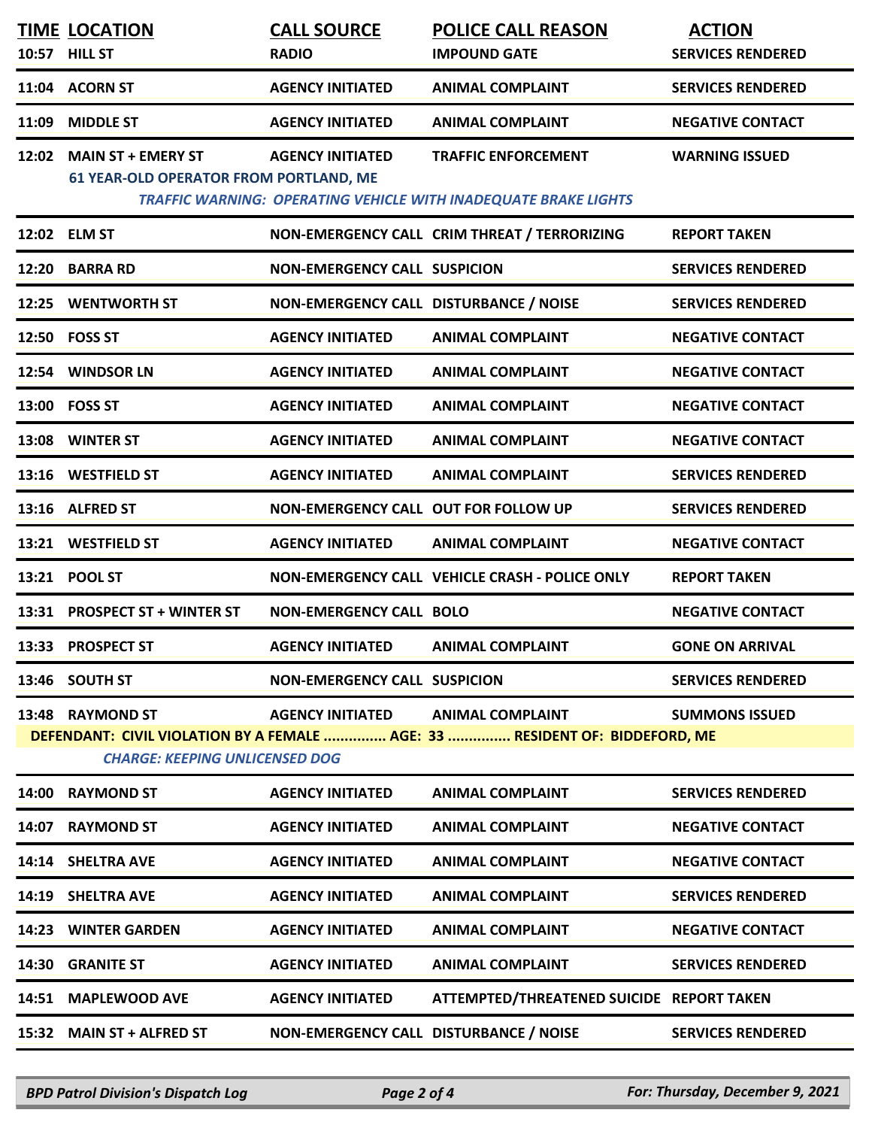|       | <b>TIME LOCATION</b><br><b>HILL ST</b>                                     | <b>CALL SOURCE</b>                     | <b>POLICE CALL REASON</b>                                                                              | <b>ACTION</b>            |
|-------|----------------------------------------------------------------------------|----------------------------------------|--------------------------------------------------------------------------------------------------------|--------------------------|
| 10:57 |                                                                            | <b>RADIO</b>                           | <b>IMPOUND GATE</b>                                                                                    | <b>SERVICES RENDERED</b> |
|       | 11:04 ACORN ST                                                             | <b>AGENCY INITIATED</b>                | <b>ANIMAL COMPLAINT</b>                                                                                | <b>SERVICES RENDERED</b> |
| 11:09 | <b>MIDDLE ST</b>                                                           | <b>AGENCY INITIATED</b>                | <b>ANIMAL COMPLAINT</b>                                                                                | <b>NEGATIVE CONTACT</b>  |
| 12:02 | <b>MAIN ST + EMERY ST</b><br><b>61 YEAR-OLD OPERATOR FROM PORTLAND, ME</b> | <b>AGENCY INITIATED</b>                | <b>TRAFFIC ENFORCEMENT</b><br>TRAFFIC WARNING: OPERATING VEHICLE WITH INADEQUATE BRAKE LIGHTS          | <b>WARNING ISSUED</b>    |
|       | 12:02 ELM ST                                                               |                                        | NON-EMERGENCY CALL CRIM THREAT / TERRORIZING                                                           | <b>REPORT TAKEN</b>      |
|       | 12:20 BARRA RD                                                             | <b>NON-EMERGENCY CALL SUSPICION</b>    |                                                                                                        | <b>SERVICES RENDERED</b> |
| 12:25 | <b>WENTWORTH ST</b>                                                        | NON-EMERGENCY CALL DISTURBANCE / NOISE |                                                                                                        | <b>SERVICES RENDERED</b> |
|       | 12:50 FOSS ST                                                              | <b>AGENCY INITIATED</b>                | <b>ANIMAL COMPLAINT</b>                                                                                | <b>NEGATIVE CONTACT</b>  |
| 12:54 | <b>WINDSOR LN</b>                                                          | <b>AGENCY INITIATED</b>                | <b>ANIMAL COMPLAINT</b>                                                                                | <b>NEGATIVE CONTACT</b>  |
|       | 13:00 FOSS ST                                                              | <b>AGENCY INITIATED</b>                | <b>ANIMAL COMPLAINT</b>                                                                                | <b>NEGATIVE CONTACT</b>  |
| 13:08 | <b>WINTER ST</b>                                                           | <b>AGENCY INITIATED</b>                | <b>ANIMAL COMPLAINT</b>                                                                                | <b>NEGATIVE CONTACT</b>  |
|       | 13:16 WESTFIELD ST                                                         | <b>AGENCY INITIATED</b>                | <b>ANIMAL COMPLAINT</b>                                                                                | <b>SERVICES RENDERED</b> |
|       | 13:16 ALFRED ST                                                            | NON-EMERGENCY CALL OUT FOR FOLLOW UP   |                                                                                                        | <b>SERVICES RENDERED</b> |
|       | 13:21 WESTFIELD ST                                                         | <b>AGENCY INITIATED</b>                | <b>ANIMAL COMPLAINT</b>                                                                                | <b>NEGATIVE CONTACT</b>  |
|       | 13:21 POOL ST                                                              |                                        | NON-EMERGENCY CALL VEHICLE CRASH - POLICE ONLY                                                         | <b>REPORT TAKEN</b>      |
| 13:31 | <b>PROSPECT ST + WINTER ST</b>                                             | <b>NON-EMERGENCY CALL BOLO</b>         |                                                                                                        | <b>NEGATIVE CONTACT</b>  |
|       | 13:33 PROSPECT ST                                                          | <b>AGENCY INITIATED</b>                | <b>ANIMAL COMPLAINT</b>                                                                                | <b>GONE ON ARRIVAL</b>   |
|       | 13:46 SOUTH ST                                                             | <b>NON-EMERGENCY CALL SUSPICION</b>    |                                                                                                        | <b>SERVICES RENDERED</b> |
|       | 13:48 RAYMOND ST<br><b>CHARGE: KEEPING UNLICENSED DOG</b>                  | <b>AGENCY INITIATED</b>                | <b>ANIMAL COMPLAINT</b><br>DEFENDANT: CIVIL VIOLATION BY A FEMALE  AGE: 33  RESIDENT OF: BIDDEFORD, ME | <b>SUMMONS ISSUED</b>    |
| 14:00 | <b>RAYMOND ST</b>                                                          | <b>AGENCY INITIATED</b>                | <b>ANIMAL COMPLAINT</b>                                                                                | <b>SERVICES RENDERED</b> |
| 14:07 | <b>RAYMOND ST</b>                                                          | <b>AGENCY INITIATED</b>                | <b>ANIMAL COMPLAINT</b>                                                                                | <b>NEGATIVE CONTACT</b>  |
|       | 14:14 SHELTRA AVE                                                          | <b>AGENCY INITIATED</b>                | <b>ANIMAL COMPLAINT</b>                                                                                | <b>NEGATIVE CONTACT</b>  |
|       | 14:19 SHELTRA AVE                                                          | <b>AGENCY INITIATED</b>                | <b>ANIMAL COMPLAINT</b>                                                                                | <b>SERVICES RENDERED</b> |
| 14:23 | <b>WINTER GARDEN</b>                                                       | <b>AGENCY INITIATED</b>                | <b>ANIMAL COMPLAINT</b>                                                                                | <b>NEGATIVE CONTACT</b>  |
| 14:30 | <b>GRANITE ST</b>                                                          | <b>AGENCY INITIATED</b>                | <b>ANIMAL COMPLAINT</b>                                                                                | <b>SERVICES RENDERED</b> |
| 14:51 | <b>MAPLEWOOD AVE</b>                                                       | <b>AGENCY INITIATED</b>                | ATTEMPTED/THREATENED SUICIDE REPORT TAKEN                                                              |                          |
| 15:32 | <b>MAIN ST + ALFRED ST</b>                                                 | NON-EMERGENCY CALL DISTURBANCE / NOISE |                                                                                                        | <b>SERVICES RENDERED</b> |
|       |                                                                            |                                        |                                                                                                        |                          |

*BPD Patrol Division's Dispatch Log Page 2 of 4 For: Thursday, December 9, 2021*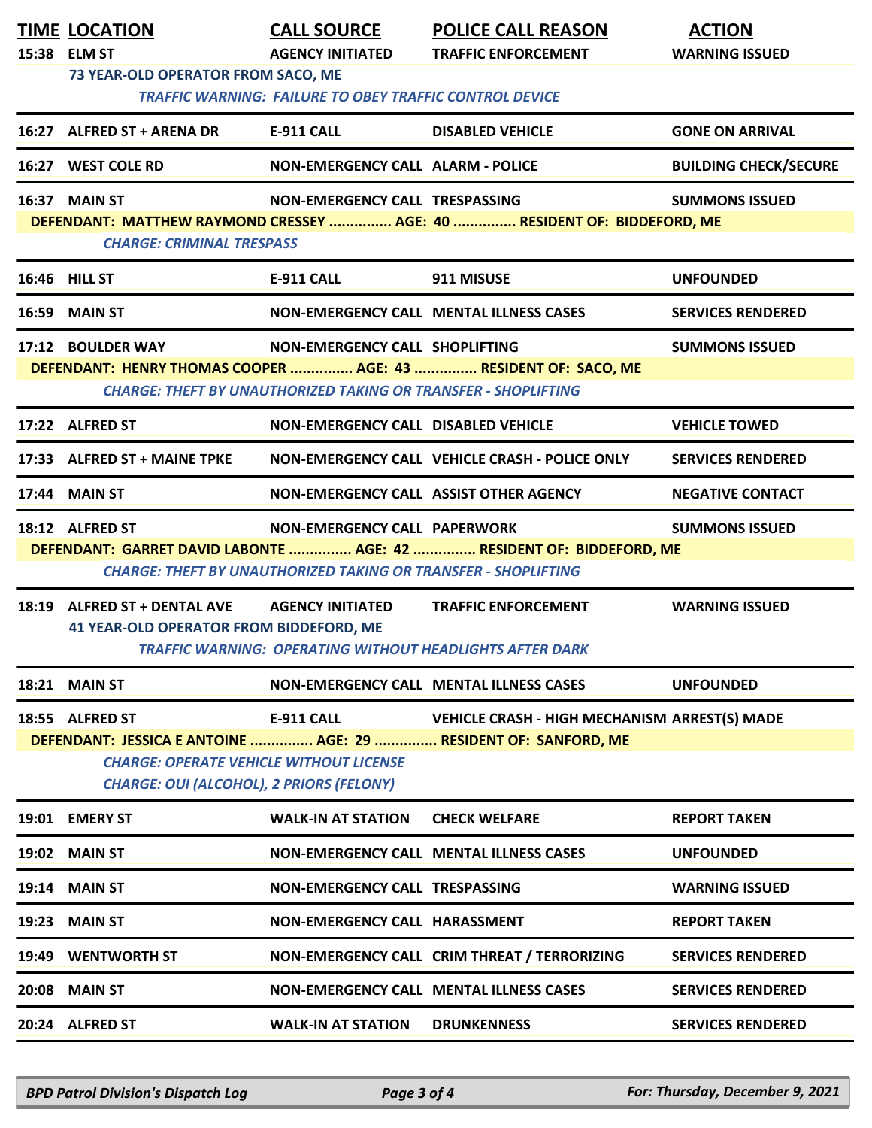|       | <b>TIME LOCATION</b><br>15:38 ELM ST<br>73 YEAR-OLD OPERATOR FROM SACO, ME                                  | <b>CALL SOURCE</b><br><b>AGENCY INITIATED</b>                         | <b>POLICE CALL REASON</b><br><b>TRAFFIC ENFORCEMENT</b>              | <b>ACTION</b><br><b>WARNING ISSUED</b> |  |  |
|-------|-------------------------------------------------------------------------------------------------------------|-----------------------------------------------------------------------|----------------------------------------------------------------------|----------------------------------------|--|--|
|       | <b>TRAFFIC WARNING: FAILURE TO OBEY TRAFFIC CONTROL DEVICE</b>                                              |                                                                       |                                                                      |                                        |  |  |
|       | 16:27 ALFRED ST + ARENA DR                                                                                  | E-911 CALL                                                            | <b>DISABLED VEHICLE</b>                                              | <b>GONE ON ARRIVAL</b>                 |  |  |
|       | 16:27 WEST COLE RD                                                                                          | NON-EMERGENCY CALL ALARM - POLICE                                     |                                                                      | <b>BUILDING CHECK/SECURE</b>           |  |  |
|       | <b>16:37 MAIN ST</b>                                                                                        | NON-EMERGENCY CALL TRESPASSING                                        |                                                                      | <b>SUMMONS ISSUED</b>                  |  |  |
|       | DEFENDANT: MATTHEW RAYMOND CRESSEY  AGE: 40  RESIDENT OF: BIDDEFORD, ME<br><b>CHARGE: CRIMINAL TRESPASS</b> |                                                                       |                                                                      |                                        |  |  |
|       | <b>16:46 HILL ST</b>                                                                                        | E-911 CALL                                                            | 911 MISUSE                                                           | <b>UNFOUNDED</b>                       |  |  |
|       | <b>16:59 MAIN ST</b>                                                                                        |                                                                       | <b>NON-EMERGENCY CALL MENTAL ILLNESS CASES</b>                       | <b>SERVICES RENDERED</b>               |  |  |
|       | 17:12 BOULDER WAY                                                                                           | NON-EMERGENCY CALL SHOPLIFTING                                        |                                                                      | <b>SUMMONS ISSUED</b>                  |  |  |
|       |                                                                                                             | <b>CHARGE: THEFT BY UNAUTHORIZED TAKING OR TRANSFER - SHOPLIFTING</b> | DEFENDANT: HENRY THOMAS COOPER  AGE: 43  RESIDENT OF: SACO, ME       |                                        |  |  |
|       | 17:22 ALFRED ST                                                                                             | NON-EMERGENCY CALL DISABLED VEHICLE                                   |                                                                      | <b>VEHICLE TOWED</b>                   |  |  |
|       | 17:33 ALFRED ST + MAINE TPKE                                                                                |                                                                       | NON-EMERGENCY CALL VEHICLE CRASH - POLICE ONLY                       | <b>SERVICES RENDERED</b>               |  |  |
|       | 17:44 MAIN ST                                                                                               | NON-EMERGENCY CALL ASSIST OTHER AGENCY                                |                                                                      | <b>NEGATIVE CONTACT</b>                |  |  |
|       | 18:12 ALFRED ST                                                                                             | NON-EMERGENCY CALL PAPERWORK                                          |                                                                      | <b>SUMMONS ISSUED</b>                  |  |  |
|       |                                                                                                             | <b>CHARGE: THEFT BY UNAUTHORIZED TAKING OR TRANSFER - SHOPLIFTING</b> | DEFENDANT: GARRET DAVID LABONTE  AGE: 42  RESIDENT OF: BIDDEFORD, ME |                                        |  |  |
|       | 18:19 ALFRED ST + DENTAL AVE                                                                                | <b>AGENCY INITIATED</b>                                               | <b>TRAFFIC ENFORCEMENT</b>                                           | <b>WARNING ISSUED</b>                  |  |  |
|       | <b>41 YEAR-OLD OPERATOR FROM BIDDEFORD, ME</b>                                                              |                                                                       | <b>TRAFFIC WARNING: OPERATING WITHOUT HEADLIGHTS AFTER DARK</b>      |                                        |  |  |
|       | 18:21 MAIN ST                                                                                               |                                                                       | NON-EMERGENCY CALL MENTAL ILLNESS CASES                              | <b>UNFOUNDED</b>                       |  |  |
|       | 18:55 ALFRED ST                                                                                             | E-911 CALL                                                            | <b>VEHICLE CRASH - HIGH MECHANISM ARREST(S) MADE</b>                 |                                        |  |  |
|       | <b>CHARGE: OPERATE VEHICLE WITHOUT LICENSE</b>                                                              |                                                                       | DEFENDANT: JESSICA E ANTOINE  AGE: 29  RESIDENT OF: SANFORD, ME      |                                        |  |  |
|       | <b>CHARGE: OUI (ALCOHOL), 2 PRIORS (FELONY)</b>                                                             |                                                                       |                                                                      |                                        |  |  |
|       | 19:01 EMERY ST                                                                                              | <b>WALK-IN AT STATION</b>                                             | <b>CHECK WELFARE</b>                                                 | <b>REPORT TAKEN</b>                    |  |  |
|       | 19:02 MAIN ST                                                                                               |                                                                       | NON-EMERGENCY CALL MENTAL ILLNESS CASES                              | <b>UNFOUNDED</b>                       |  |  |
|       | 19:14 MAIN ST                                                                                               | NON-EMERGENCY CALL TRESPASSING                                        |                                                                      | <b>WARNING ISSUED</b>                  |  |  |
| 19:23 | <b>MAIN ST</b>                                                                                              | NON-EMERGENCY CALL HARASSMENT                                         |                                                                      | <b>REPORT TAKEN</b>                    |  |  |
|       | 19:49 WENTWORTH ST                                                                                          |                                                                       | NON-EMERGENCY CALL CRIM THREAT / TERRORIZING                         | <b>SERVICES RENDERED</b>               |  |  |
|       | 20:08 MAIN ST                                                                                               |                                                                       | NON-EMERGENCY CALL MENTAL ILLNESS CASES                              | <b>SERVICES RENDERED</b>               |  |  |
|       | 20:24 ALFRED ST                                                                                             | <b>WALK-IN AT STATION</b>                                             | <b>DRUNKENNESS</b>                                                   | <b>SERVICES RENDERED</b>               |  |  |

*BPD Patrol Division's Dispatch Log Page 3 of 4 For: Thursday, December 9, 2021*